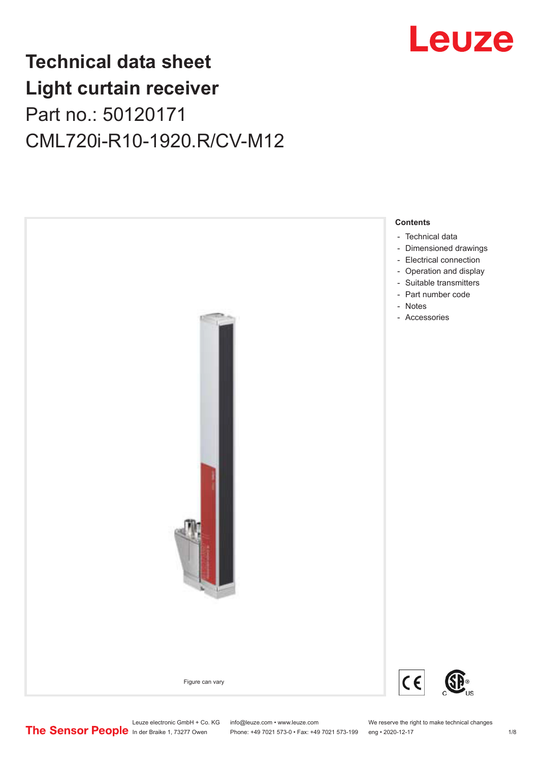

## **Technical data sheet Light curtain receiver** Part no.: 50120171 CML720i-R10-1920.R/CV-M12



Leuze electronic GmbH + Co. KG info@leuze.com • www.leuze.com We reserve the right to make technical changes<br>
The Sensor People in der Braike 1, 73277 Owen Phone: +49 7021 573-0 • Fax: +49 7021 573-199 eng • 2020-12-17

Phone: +49 7021 573-0 • Fax: +49 7021 573-199 eng • 2020-12-17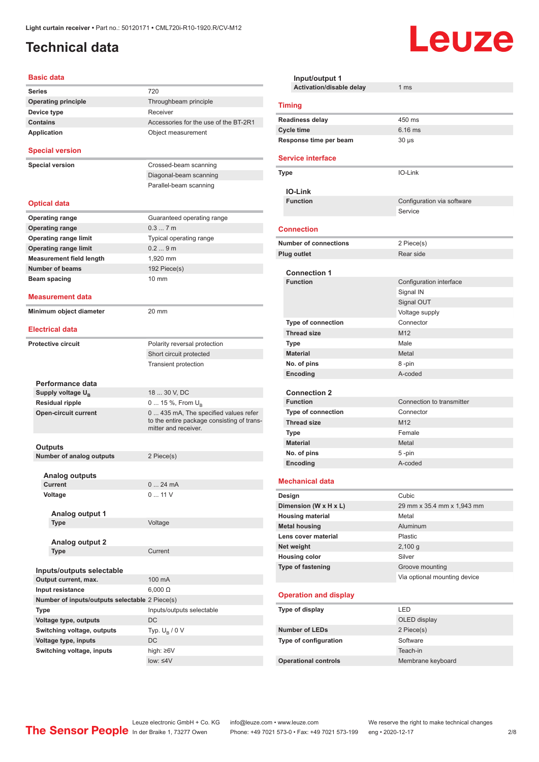## <span id="page-1-0"></span>**Technical data**

#### **Basic data**

| Series                                         | 720                                                                                                        |
|------------------------------------------------|------------------------------------------------------------------------------------------------------------|
| <b>Operating principle</b>                     | Throughbeam principle                                                                                      |
| Device type                                    | Receiver                                                                                                   |
| <b>Contains</b>                                | Accessories for the use of the BT-2R1                                                                      |
| Application                                    | Object measurement                                                                                         |
|                                                |                                                                                                            |
| <b>Special version</b>                         |                                                                                                            |
| <b>Special version</b>                         | Crossed-beam scanning                                                                                      |
|                                                | Diagonal-beam scanning                                                                                     |
|                                                | Parallel-beam scanning                                                                                     |
|                                                |                                                                                                            |
| <b>Optical data</b>                            |                                                                                                            |
| <b>Operating range</b>                         | Guaranteed operating range                                                                                 |
| <b>Operating range</b>                         | 0.37m                                                                                                      |
| <b>Operating range limit</b>                   | Typical operating range                                                                                    |
| <b>Operating range limit</b>                   | 0.29m                                                                                                      |
| <b>Measurement field length</b>                | 1.920 mm                                                                                                   |
| <b>Number of beams</b>                         | 192 Piece(s)                                                                                               |
| Beam spacing                                   | $10 \text{ mm}$                                                                                            |
|                                                |                                                                                                            |
| <b>Measurement data</b>                        |                                                                                                            |
| Minimum object diameter                        | 20 mm                                                                                                      |
|                                                |                                                                                                            |
| <b>Electrical data</b>                         |                                                                                                            |
| <b>Protective circuit</b>                      | Polarity reversal protection                                                                               |
|                                                | Short circuit protected                                                                                    |
|                                                | <b>Transient protection</b>                                                                                |
|                                                |                                                                                                            |
| Performance data                               |                                                                                                            |
| Supply voltage $U_{B}$                         | 18  30 V, DC                                                                                               |
| <b>Residual ripple</b>                         | 0  15 %, From $U_{\rm B}$                                                                                  |
| <b>Open-circuit current</b>                    | 0 435 mA, The specified values refer<br>to the entire package consisting of trans-<br>mitter and receiver. |
|                                                |                                                                                                            |
| Outputs                                        |                                                                                                            |
| <b>Number of analog outputs</b>                | 2 Piece(s)                                                                                                 |
|                                                |                                                                                                            |
| <b>Analog outputs</b><br>Current               | 24 mA<br>0                                                                                                 |
| Voltage                                        | 0  11 V                                                                                                    |
|                                                |                                                                                                            |
| Analog output 1                                |                                                                                                            |
| Type                                           | Voltage                                                                                                    |
|                                                |                                                                                                            |
| <b>Analog output 2</b>                         |                                                                                                            |
| <b>Type</b>                                    | Current                                                                                                    |
|                                                |                                                                                                            |
| Inputs/outputs selectable                      |                                                                                                            |
| Output current, max.                           | 100 mA                                                                                                     |
| Input resistance                               | $6,000 \Omega$                                                                                             |
| Number of inputs/outputs selectable 2 Piece(s) |                                                                                                            |
| Type                                           | Inputs/outputs selectable                                                                                  |
| Voltage type, outputs                          | DC                                                                                                         |
| Switching voltage, outputs                     | Typ. $U_R / 0 V$                                                                                           |
| Voltage type, inputs                           | DC                                                                                                         |
| Switching voltage, inputs                      | high: ≥6V                                                                                                  |
|                                                | $low: 4V$                                                                                                  |
|                                                |                                                                                                            |

| Input/output 1                  |                              |  |  |
|---------------------------------|------------------------------|--|--|
| <b>Activation/disable delay</b> | 1 <sub>ms</sub>              |  |  |
| <b>Timing</b>                   |                              |  |  |
| <b>Readiness delay</b>          | 450 ms                       |  |  |
| <b>Cycle time</b>               | $6.16$ ms                    |  |  |
| Response time per beam          | $30 \mu s$                   |  |  |
| <b>Service interface</b>        |                              |  |  |
| <b>Type</b>                     | IO-Link                      |  |  |
| <b>IO-Link</b>                  |                              |  |  |
| <b>Function</b>                 | Configuration via software   |  |  |
|                                 | Service                      |  |  |
| <b>Connection</b>               |                              |  |  |
| <b>Number of connections</b>    | 2 Piece(s)                   |  |  |
| <b>Plug outlet</b>              | Rear side                    |  |  |
|                                 |                              |  |  |
| <b>Connection 1</b>             |                              |  |  |
| <b>Function</b>                 | Configuration interface      |  |  |
|                                 | Signal IN                    |  |  |
|                                 | Signal OUT                   |  |  |
|                                 | Voltage supply               |  |  |
| Type of connection              | Connector                    |  |  |
| <b>Thread size</b>              | M12                          |  |  |
| <b>Type</b>                     | Male                         |  |  |
| <b>Material</b>                 | Metal                        |  |  |
| No. of pins                     | 8-pin<br>A-coded             |  |  |
| Encoding                        |                              |  |  |
| <b>Connection 2</b>             |                              |  |  |
| <b>Function</b>                 | Connection to transmitter    |  |  |
| <b>Type of connection</b>       | Connector                    |  |  |
| <b>Thread size</b>              | M <sub>12</sub>              |  |  |
| Type                            | Female                       |  |  |
| <b>Material</b>                 | Metal                        |  |  |
| No. of pins                     | 5-pin                        |  |  |
| Encoding                        | A-coded                      |  |  |
| <b>Mechanical data</b>          |                              |  |  |
| Design                          | Cubic                        |  |  |
| Dimension (W x H x L)           | 29 mm x 35.4 mm x 1,943 mm   |  |  |
| <b>Housing material</b>         | Metal                        |  |  |
| <b>Metal housing</b>            | <b>Aluminum</b>              |  |  |
| Lens cover material             | Plastic                      |  |  |
| Net weight                      | 2,100 g                      |  |  |
| <b>Housing color</b>            | Silver                       |  |  |
| <b>Type of fastening</b>        | Groove mounting              |  |  |
|                                 | Via optional mounting device |  |  |
| <b>Operation and display</b>    |                              |  |  |
| Type of display                 | <b>LED</b>                   |  |  |
|                                 | OLED display                 |  |  |
| <b>Number of LEDs</b>           | 2 Piece(s)                   |  |  |
| Type of configuration           | Software                     |  |  |
|                                 | Teach-in                     |  |  |
| <b>Operational controls</b>     | Membrane keyboard            |  |  |

Leuze

Leuze electronic GmbH + Co. KG info@leuze.com • www.leuze.com We reserve the right to make technical changes ln der Braike 1, 73277 Owen Phone: +49 7021 573-0 • Fax: +49 7021 573-199 eng • 2020-12-17 2/8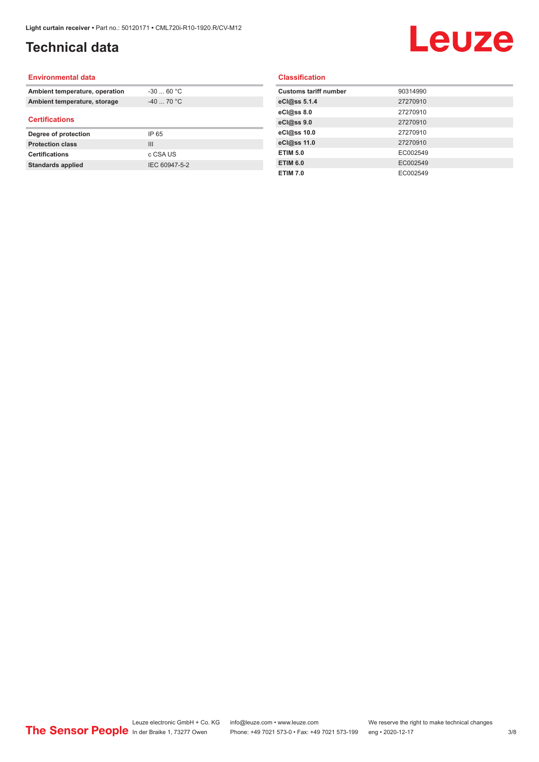## **Technical data**

# Leuze

#### **Environmental data**

| Ambient temperature, operation | $-30$ 60 °C    |  |
|--------------------------------|----------------|--|
| Ambient temperature, storage   | $-40$ 70 °C    |  |
| <b>Certifications</b>          |                |  |
| Degree of protection           | IP 65          |  |
| <b>Protection class</b>        | $\mathbf{III}$ |  |
| <b>Certifications</b>          | c CSA US       |  |
| <b>Standards applied</b>       | IEC 60947-5-2  |  |

#### **Classification**

| <b>Customs tariff number</b> | 90314990 |
|------------------------------|----------|
| eCl@ss 5.1.4                 | 27270910 |
| eCl@ss 8.0                   | 27270910 |
| eCl@ss 9.0                   | 27270910 |
| eCl@ss 10.0                  | 27270910 |
| eCl@ss 11.0                  | 27270910 |
| <b>ETIM 5.0</b>              | EC002549 |
| <b>ETIM 6.0</b>              | EC002549 |
| <b>ETIM 7.0</b>              | EC002549 |
|                              |          |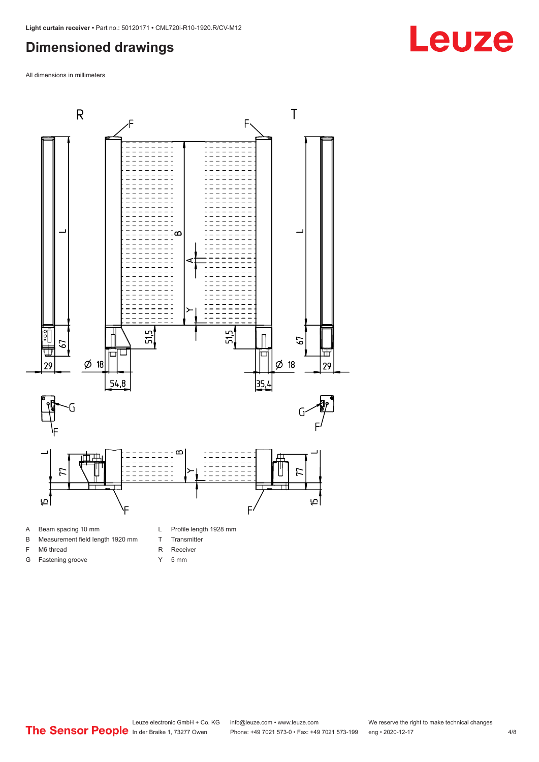#### <span id="page-3-0"></span>**Dimensioned drawings**

All dimensions in millimeters



- 
- B Measurement field length 1920 mm
- F M6 thread

G Fastening groove

- R Receiver
	- Y 5 mm

T Transmitter

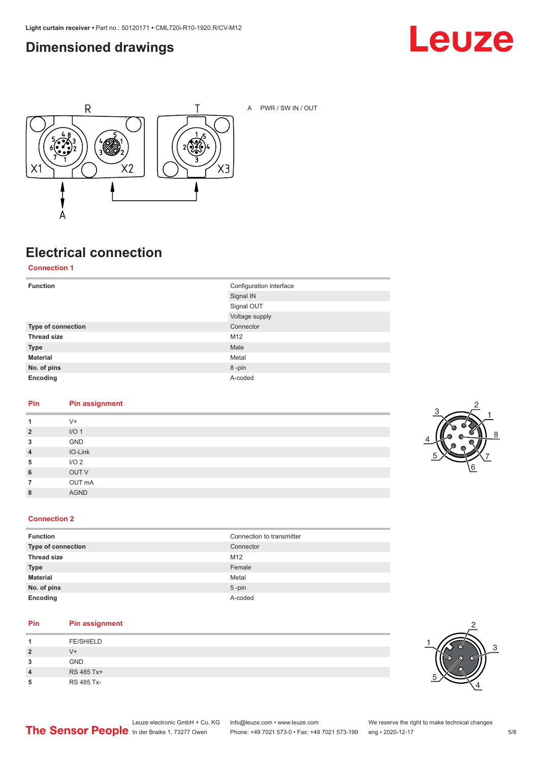### <span id="page-4-0"></span>**Dimensioned drawings**





A PWR / SW IN / OUT

## **Electrical connection**

**Connection 1**

| <b>Function</b>    | Configuration interface<br>Signal IN |
|--------------------|--------------------------------------|
|                    | Signal OUT                           |
|                    | Voltage supply                       |
| Type of connection | Connector                            |
| <b>Thread size</b> | M12                                  |
| <b>Type</b>        | Male                                 |
| <b>Material</b>    | Metal                                |
| No. of pins        | 8-pin                                |
| Encoding           | A-coded                              |

#### **Pin Pin assignment**

| 1              | $V +$            |
|----------------|------------------|
| $\overline{2}$ | I/O <sub>1</sub> |
| 3              | GND              |
| $\overline{4}$ | IO-Link          |
| 5              | I/O <sub>2</sub> |
| 6              | OUT V            |
| 7              | OUT mA           |
| 8              | <b>AGND</b>      |
|                |                  |



#### **Connection 2**

| <b>Function</b>    | Connection to transmitter |
|--------------------|---------------------------|
| Type of connection | Connector                 |
| <b>Thread size</b> | M <sub>12</sub>           |
| <b>Type</b>        | Female                    |
| <b>Material</b>    | Metal                     |
| No. of pins        | $5$ -pin                  |
| Encoding           | A-coded                   |

#### **Pin Pin assignment**

|         | <b>FE/SHIELD</b> |
|---------|------------------|
| 2       | V+               |
| 2<br>×. | <b>GND</b>       |
| 4       | RS 485 Tx+       |
| n       | RS 485 Tx-       |

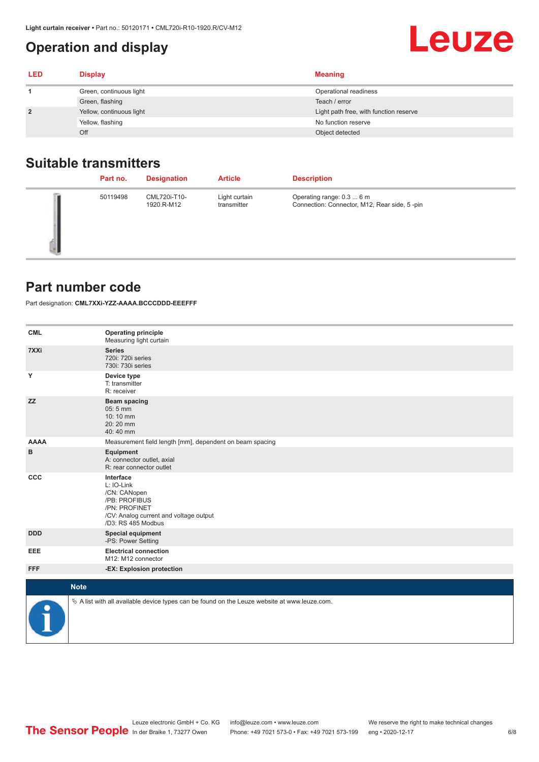### <span id="page-5-0"></span>**Operation and display**

| <b>LED</b>     | <b>Display</b>           | <b>Meaning</b>                         |
|----------------|--------------------------|----------------------------------------|
|                | Green, continuous light  | Operational readiness                  |
|                | Green, flashing          | Teach / error                          |
| $\overline{2}$ | Yellow, continuous light | Light path free, with function reserve |
|                | Yellow, flashing         | No function reserve                    |
|                | Off                      | Object detected                        |

### **Suitable transmitters**

| Part no. | <b>Designation</b>         | <b>Article</b>               | <b>Description</b>                                                        |
|----------|----------------------------|------------------------------|---------------------------------------------------------------------------|
| 50119498 | CML720i-T10-<br>1920.R-M12 | Light curtain<br>transmitter | Operating range: 0.3  6 m<br>Connection: Connector, M12, Rear side, 5-pin |

#### **Part number code**

Part designation: **CML7XXi-YZZ-AAAA.BCCCDDD-EEEFFF**

| <b>CML</b>  | <b>Operating principle</b><br>Measuring light curtain                                                                                     |
|-------------|-------------------------------------------------------------------------------------------------------------------------------------------|
| 7XXi        | <b>Series</b><br>720i: 720i series<br>730i: 730i series                                                                                   |
| Y           | Device type<br>T: transmitter<br>R: receiver                                                                                              |
| <b>ZZ</b>   | <b>Beam spacing</b><br>05:5 mm<br>10:10 mm<br>20:20 mm<br>40:40 mm                                                                        |
| <b>AAAA</b> | Measurement field length [mm], dependent on beam spacing                                                                                  |
| в           | Equipment<br>A: connector outlet, axial<br>R: rear connector outlet                                                                       |
| CCC         | Interface<br>L: IO-Link<br>/CN: CANopen<br>/PB: PROFIBUS<br>/PN: PROFINET<br>/CV: Analog current and voltage output<br>/D3: RS 485 Modbus |
| <b>DDD</b>  | <b>Special equipment</b><br>-PS: Power Setting                                                                                            |
| EEE         | <b>Electrical connection</b><br>M12: M12 connector                                                                                        |
| <b>FFF</b>  | -EX: Explosion protection                                                                                                                 |
|             | <b>Note</b>                                                                                                                               |
| ₽           | $\&$ A list with all available device types can be found on the Leuze website at www.leuze.com.                                           |

**Leuze**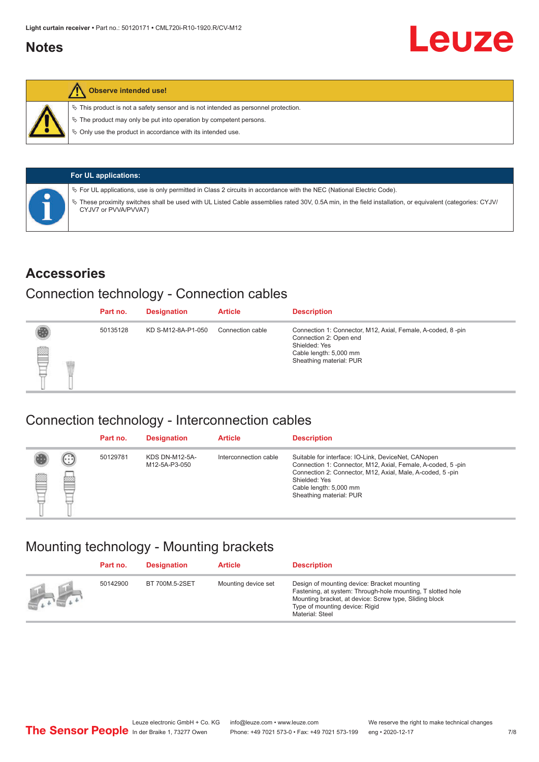#### <span id="page-6-0"></span>**Notes**



#### **Observe intended use!**

 $\%$  This product is not a safety sensor and is not intended as personnel protection.

 $\%$  The product may only be put into operation by competent persons.

 $\%$  Only use the product in accordance with its intended use.

| <b>For UL applications:</b>                                                                                                                                                     |
|---------------------------------------------------------------------------------------------------------------------------------------------------------------------------------|
| $\%$ For UL applications, use is only permitted in Class 2 circuits in accordance with the NEC (National Electric Code).                                                        |
| These proximity switches shall be used with UL Listed Cable assemblies rated 30V, 0.5A min, in the field installation, or equivalent (categories: CYJV/<br>CYJV7 or PVVA/PVVA7) |

#### **Accessories**

#### Connection technology - Connection cables

|   | Part no. | <b>Designation</b> | <b>Article</b>   | <b>Description</b>                                                                                                                                          |
|---|----------|--------------------|------------------|-------------------------------------------------------------------------------------------------------------------------------------------------------------|
| § | 50135128 | KD S-M12-8A-P1-050 | Connection cable | Connection 1: Connector, M12, Axial, Female, A-coded, 8-pin<br>Connection 2: Open end<br>Shielded: Yes<br>Cable length: 5,000 mm<br>Sheathing material: PUR |

#### Connection technology - Interconnection cables

|   |                           | Part no. | <b>Designation</b>                     | <b>Article</b>        | <b>Description</b>                                                                                                                                                                                                                                    |
|---|---------------------------|----------|----------------------------------------|-----------------------|-------------------------------------------------------------------------------------------------------------------------------------------------------------------------------------------------------------------------------------------------------|
| ▤ | $\left(\cdot\right)$<br>Þ | 50129781 | <b>KDS DN-M12-5A-</b><br>M12-5A-P3-050 | Interconnection cable | Suitable for interface: IO-Link, DeviceNet, CANopen<br>Connection 1: Connector, M12, Axial, Female, A-coded, 5-pin<br>Connection 2: Connector, M12, Axial, Male, A-coded, 5-pin<br>Shielded: Yes<br>Cable length: 5,000 mm<br>Sheathing material: PUR |

#### Mounting technology - Mounting brackets

|                                 | Part no. | <b>Designation</b> | <b>Article</b>      | <b>Description</b>                                                                                                                                                                                                        |
|---------------------------------|----------|--------------------|---------------------|---------------------------------------------------------------------------------------------------------------------------------------------------------------------------------------------------------------------------|
| $\frac{1}{2}$ and $\frac{1}{2}$ | 50142900 | BT 700M.5-2SET     | Mounting device set | Design of mounting device: Bracket mounting<br>Fastening, at system: Through-hole mounting, T slotted hole<br>Mounting bracket, at device: Screw type, Sliding block<br>Type of mounting device: Rigid<br>Material: Steel |

Leuze